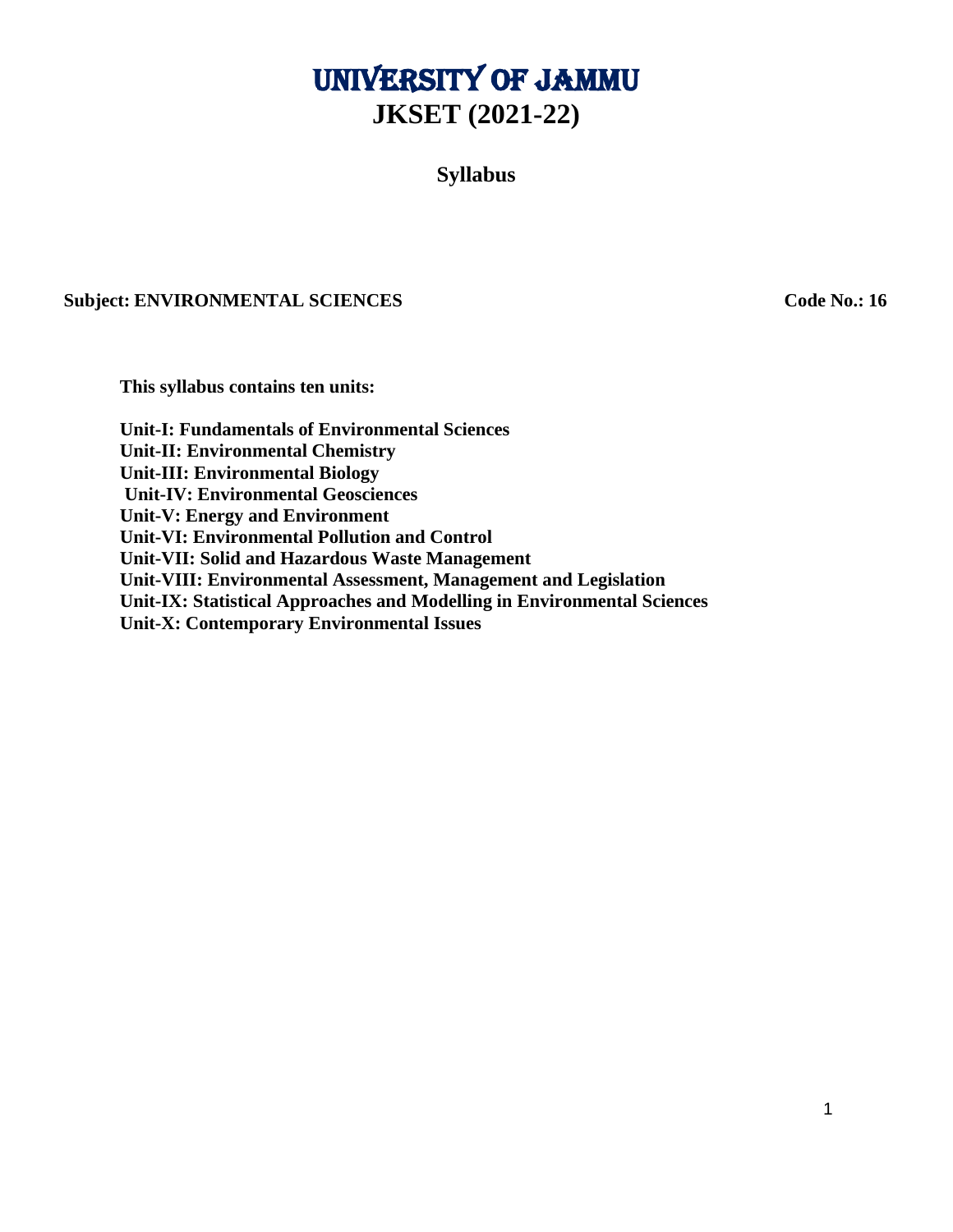# University of Jammu **JKSET (2021-22)**

**Syllabus**

## **Subject: ENVIRONMENTAL SCIENCES Code No.: 16**

**This syllabus contains ten units:**

**Unit-I: Fundamentals of Environmental Sciences Unit-II: Environmental Chemistry Unit-III: Environmental Biology Unit-IV: Environmental Geosciences Unit-V: Energy and Environment Unit-VI: Environmental Pollution and Control Unit-VII: Solid and Hazardous Waste Management Unit-VIII: Environmental Assessment, Management and Legislation Unit-IX: Statistical Approaches and Modelling in Environmental Sciences Unit-X: Contemporary Environmental Issues**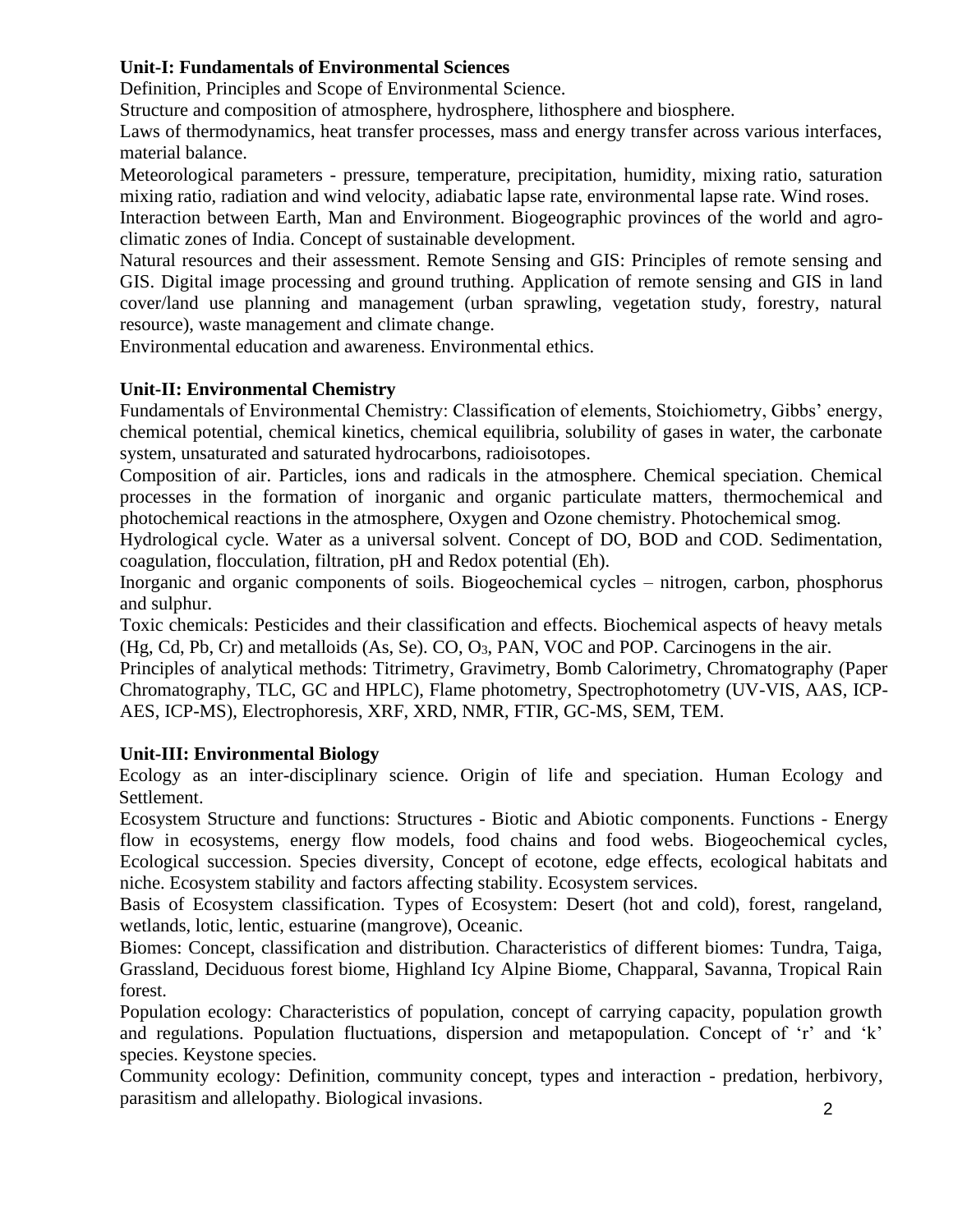# **Unit-I: Fundamentals of Environmental Sciences**

Definition, Principles and Scope of Environmental Science.

Structure and composition of atmosphere, hydrosphere, lithosphere and biosphere.

Laws of thermodynamics, heat transfer processes, mass and energy transfer across various interfaces, material balance.

Meteorological parameters - pressure, temperature, precipitation, humidity, mixing ratio, saturation mixing ratio, radiation and wind velocity, adiabatic lapse rate, environmental lapse rate. Wind roses.

Interaction between Earth, Man and Environment. Biogeographic provinces of the world and agroclimatic zones of India. Concept of sustainable development.

Natural resources and their assessment. Remote Sensing and GIS: Principles of remote sensing and GIS. Digital image processing and ground truthing. Application of remote sensing and GIS in land cover/land use planning and management (urban sprawling, vegetation study, forestry, natural resource), waste management and climate change.

Environmental education and awareness. Environmental ethics.

# **Unit-II: Environmental Chemistry**

Fundamentals of Environmental Chemistry: Classification of elements, Stoichiometry, Gibbs' energy, chemical potential, chemical kinetics, chemical equilibria, solubility of gases in water, the carbonate system, unsaturated and saturated hydrocarbons, radioisotopes.

Composition of air. Particles, ions and radicals in the atmosphere. Chemical speciation. Chemical processes in the formation of inorganic and organic particulate matters, thermochemical and photochemical reactions in the atmosphere, Oxygen and Ozone chemistry. Photochemical smog.

Hydrological cycle. Water as a universal solvent. Concept of DO, BOD and COD. Sedimentation, coagulation, flocculation, filtration, pH and Redox potential (Eh).

Inorganic and organic components of soils. Biogeochemical cycles – nitrogen, carbon, phosphorus and sulphur.

Toxic chemicals: Pesticides and their classification and effects. Biochemical aspects of heavy metals  $(Hg, Cd, Pb, Cr)$  and metalloids  $(As, Se)$ .  $CO, O<sub>3</sub>$ , PAN, VOC and POP. Carcinogens in the air.

Principles of analytical methods: Titrimetry, Gravimetry, Bomb Calorimetry, Chromatography (Paper Chromatography, TLC, GC and HPLC), Flame photometry, Spectrophotometry (UV-VIS, AAS, ICP-AES, ICP-MS), Electrophoresis, XRF, XRD, NMR, FTIR, GC-MS, SEM, TEM.

# **Unit-III: Environmental Biology**

Ecology as an inter-disciplinary science. Origin of life and speciation. Human Ecology and Settlement.

Ecosystem Structure and functions: Structures - Biotic and Abiotic components. Functions - Energy flow in ecosystems, energy flow models, food chains and food webs. Biogeochemical cycles, Ecological succession. Species diversity, Concept of ecotone, edge effects, ecological habitats and niche. Ecosystem stability and factors affecting stability. Ecosystem services.

Basis of Ecosystem classification. Types of Ecosystem: Desert (hot and cold), forest, rangeland, wetlands, lotic, lentic, estuarine (mangrove), Oceanic.

Biomes: Concept, classification and distribution. Characteristics of different biomes: Tundra, Taiga, Grassland, Deciduous forest biome, Highland Icy Alpine Biome, Chapparal, Savanna, Tropical Rain forest.

Population ecology: Characteristics of population, concept of carrying capacity, population growth and regulations. Population fluctuations, dispersion and metapopulation. Concept of 'r' and 'k' species. Keystone species.

Community ecology: Definition, community concept, types and interaction - predation, herbivory, parasitism and allelopathy. Biological invasions.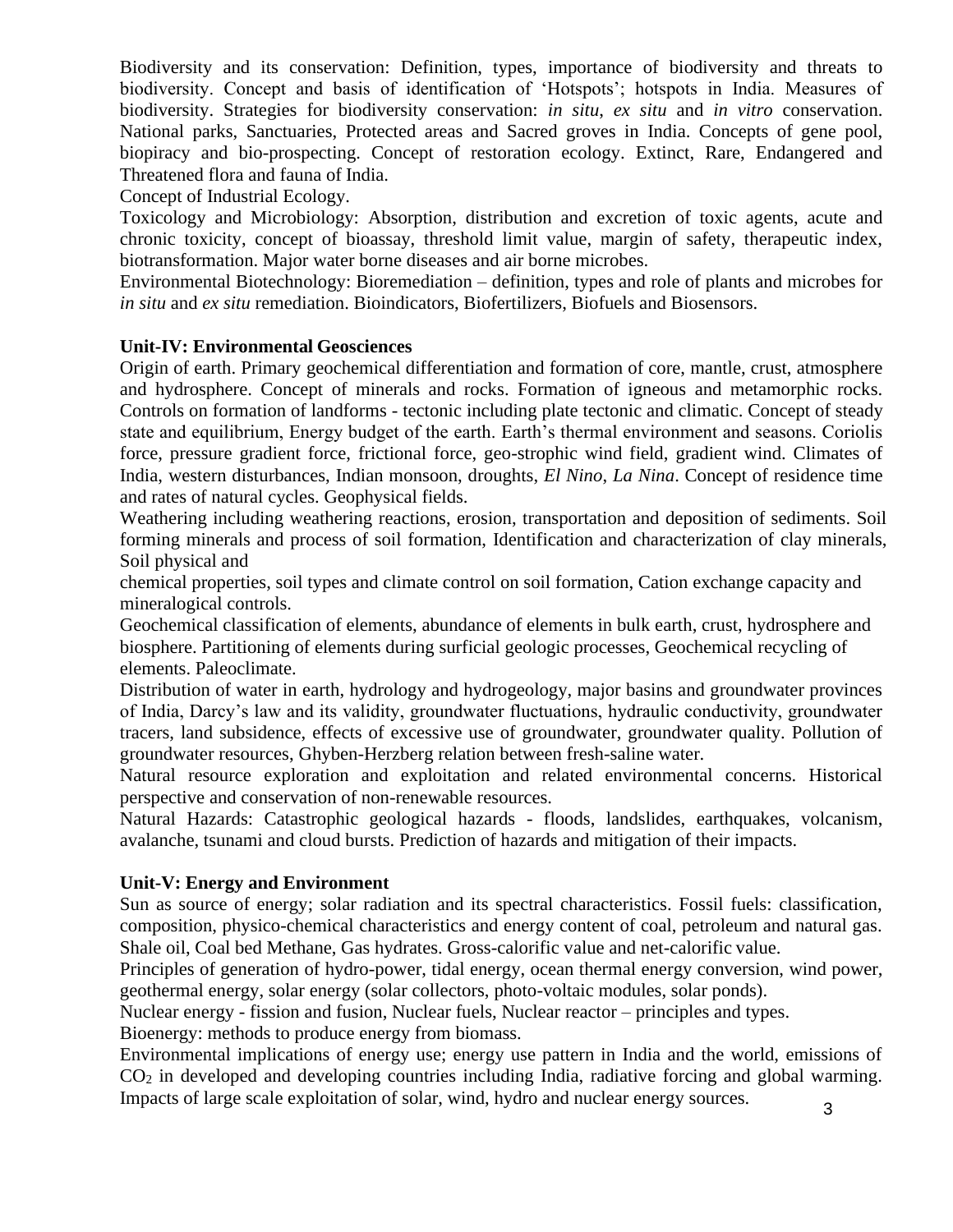Biodiversity and its conservation: Definition, types, importance of biodiversity and threats to biodiversity. Concept and basis of identification of 'Hotspots'; hotspots in India. Measures of biodiversity. Strategies for biodiversity conservation: *in situ*, *ex situ* and *in vitro* conservation. National parks, Sanctuaries, Protected areas and Sacred groves in India. Concepts of gene pool, biopiracy and bio-prospecting. Concept of restoration ecology. Extinct, Rare, Endangered and Threatened flora and fauna of India.

Concept of Industrial Ecology.

Toxicology and Microbiology: Absorption, distribution and excretion of toxic agents, acute and chronic toxicity, concept of bioassay, threshold limit value, margin of safety, therapeutic index, biotransformation. Major water borne diseases and air borne microbes.

Environmental Biotechnology: Bioremediation – definition, types and role of plants and microbes for *in situ* and *ex situ* remediation. Bioindicators, Biofertilizers, Biofuels and Biosensors.

## **Unit-IV: Environmental Geosciences**

Origin of earth. Primary geochemical differentiation and formation of core, mantle, crust, atmosphere and hydrosphere. Concept of minerals and rocks. Formation of igneous and metamorphic rocks. Controls on formation of landforms - tectonic including plate tectonic and climatic. Concept of steady state and equilibrium, Energy budget of the earth. Earth's thermal environment and seasons. Coriolis force, pressure gradient force, frictional force, geo-strophic wind field, gradient wind. Climates of India, western disturbances, Indian monsoon, droughts, *El Nino*, *La Nina*. Concept of residence time and rates of natural cycles. Geophysical fields.

Weathering including weathering reactions, erosion, transportation and deposition of sediments. Soil forming minerals and process of soil formation, Identification and characterization of clay minerals, Soil physical and

chemical properties, soil types and climate control on soil formation, Cation exchange capacity and mineralogical controls.

Geochemical classification of elements, abundance of elements in bulk earth, crust, hydrosphere and biosphere. Partitioning of elements during surficial geologic processes, Geochemical recycling of elements. Paleoclimate.

Distribution of water in earth, hydrology and hydrogeology, major basins and groundwater provinces of India, Darcy's law and its validity, groundwater fluctuations, hydraulic conductivity, groundwater tracers, land subsidence, effects of excessive use of groundwater, groundwater quality. Pollution of groundwater resources, Ghyben-Herzberg relation between fresh-saline water.

Natural resource exploration and exploitation and related environmental concerns. Historical perspective and conservation of non-renewable resources.

Natural Hazards: Catastrophic geological hazards - floods, landslides, earthquakes, volcanism, avalanche, tsunami and cloud bursts. Prediction of hazards and mitigation of their impacts.

#### **Unit-V: Energy and Environment**

Sun as source of energy; solar radiation and its spectral characteristics. Fossil fuels: classification, composition, physico-chemical characteristics and energy content of coal, petroleum and natural gas. Shale oil, Coal bed Methane, Gas hydrates. Gross-calorific value and net-calorific value.

Principles of generation of hydro-power, tidal energy, ocean thermal energy conversion, wind power, geothermal energy, solar energy (solar collectors, photo-voltaic modules, solar ponds).

Nuclear energy - fission and fusion, Nuclear fuels, Nuclear reactor – principles and types. Bioenergy: methods to produce energy from biomass.

Environmental implications of energy use; energy use pattern in India and the world, emissions of CO<sup>2</sup> in developed and developing countries including India, radiative forcing and global warming. Impacts of large scale exploitation of solar, wind, hydro and nuclear energy sources.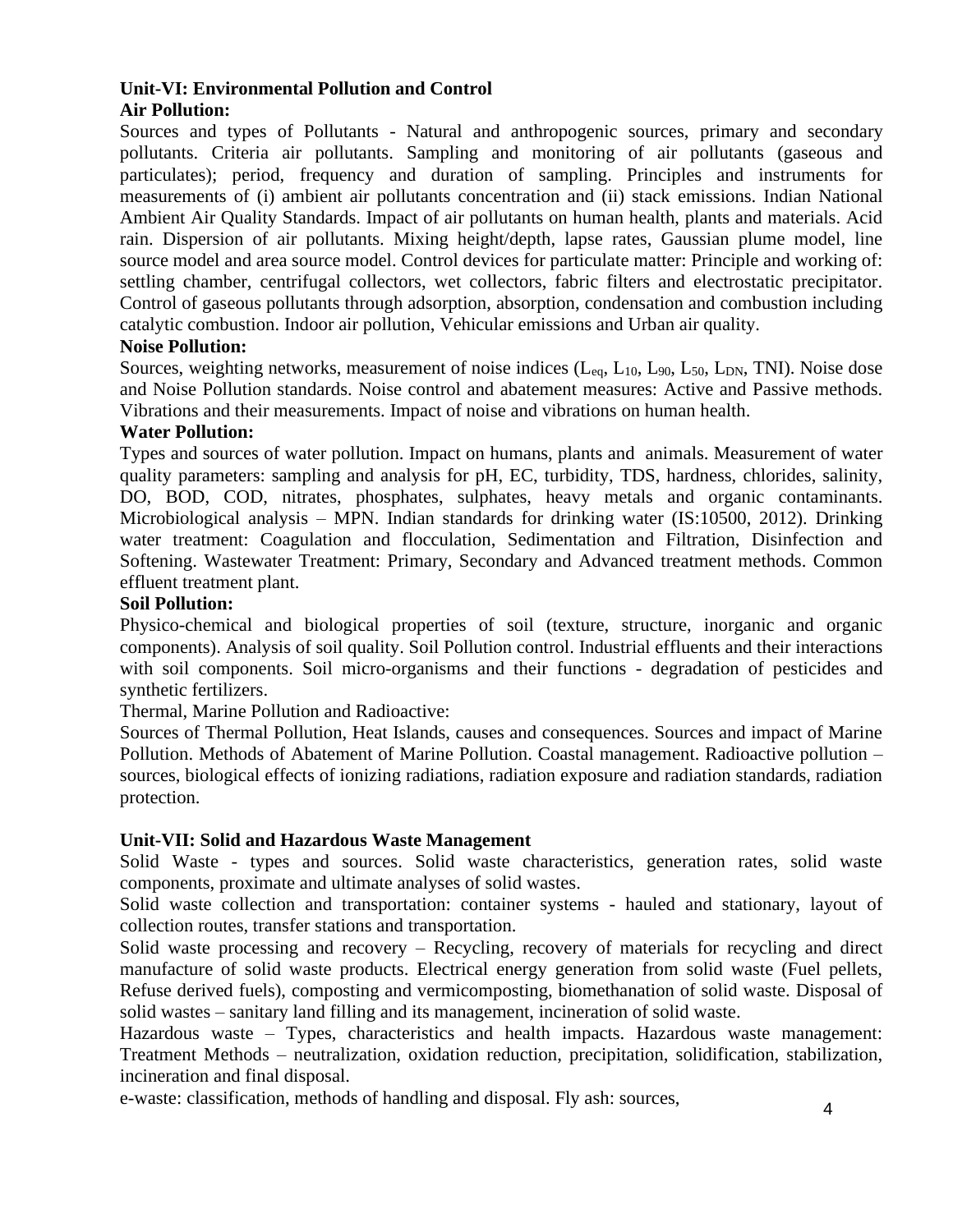## **Unit-VI: Environmental Pollution and Control Air Pollution:**

Sources and types of Pollutants - Natural and anthropogenic sources, primary and secondary pollutants. Criteria air pollutants. Sampling and monitoring of air pollutants (gaseous and particulates); period, frequency and duration of sampling. Principles and instruments for measurements of (i) ambient air pollutants concentration and (ii) stack emissions. Indian National Ambient Air Quality Standards. Impact of air pollutants on human health, plants and materials. Acid rain. Dispersion of air pollutants. Mixing height/depth, lapse rates, Gaussian plume model, line source model and area source model. Control devices for particulate matter: Principle and working of: settling chamber, centrifugal collectors, wet collectors, fabric filters and electrostatic precipitator. Control of gaseous pollutants through adsorption, absorption, condensation and combustion including catalytic combustion. Indoor air pollution, Vehicular emissions and Urban air quality.

## **Noise Pollution:**

Sources, weighting networks, measurement of noise indices  $(L_{eq}, L_{10}, L_{90}, L_{50}, L_{DN}, TNI)$ . Noise dose and Noise Pollution standards. Noise control and abatement measures: Active and Passive methods. Vibrations and their measurements. Impact of noise and vibrations on human health.

## **Water Pollution:**

Types and sources of water pollution. Impact on humans, plants and animals. Measurement of water quality parameters: sampling and analysis for pH, EC, turbidity, TDS, hardness, chlorides, salinity, DO, BOD, COD, nitrates, phosphates, sulphates, heavy metals and organic contaminants. Microbiological analysis – MPN. Indian standards for drinking water (IS:10500, 2012). Drinking water treatment: Coagulation and flocculation, Sedimentation and Filtration, Disinfection and Softening. Wastewater Treatment: Primary, Secondary and Advanced treatment methods. Common effluent treatment plant.

#### **Soil Pollution:**

Physico-chemical and biological properties of soil (texture, structure, inorganic and organic components). Analysis of soil quality. Soil Pollution control. Industrial effluents and their interactions with soil components. Soil micro-organisms and their functions - degradation of pesticides and synthetic fertilizers.

Thermal, Marine Pollution and Radioactive:

Sources of Thermal Pollution, Heat Islands, causes and consequences. Sources and impact of Marine Pollution. Methods of Abatement of Marine Pollution. Coastal management. Radioactive pollution – sources, biological effects of ionizing radiations, radiation exposure and radiation standards, radiation protection.

#### **Unit-VII: Solid and Hazardous Waste Management**

Solid Waste - types and sources. Solid waste characteristics, generation rates, solid waste components, proximate and ultimate analyses of solid wastes.

Solid waste collection and transportation: container systems - hauled and stationary, layout of collection routes, transfer stations and transportation.

Solid waste processing and recovery – Recycling, recovery of materials for recycling and direct manufacture of solid waste products. Electrical energy generation from solid waste (Fuel pellets, Refuse derived fuels), composting and vermicomposting, biomethanation of solid waste. Disposal of solid wastes – sanitary land filling and its management, incineration of solid waste.

Hazardous waste – Types, characteristics and health impacts. Hazardous waste management: Treatment Methods – neutralization, oxidation reduction, precipitation, solidification, stabilization, incineration and final disposal.

e-waste: classification, methods of handling and disposal. Fly ash: sources,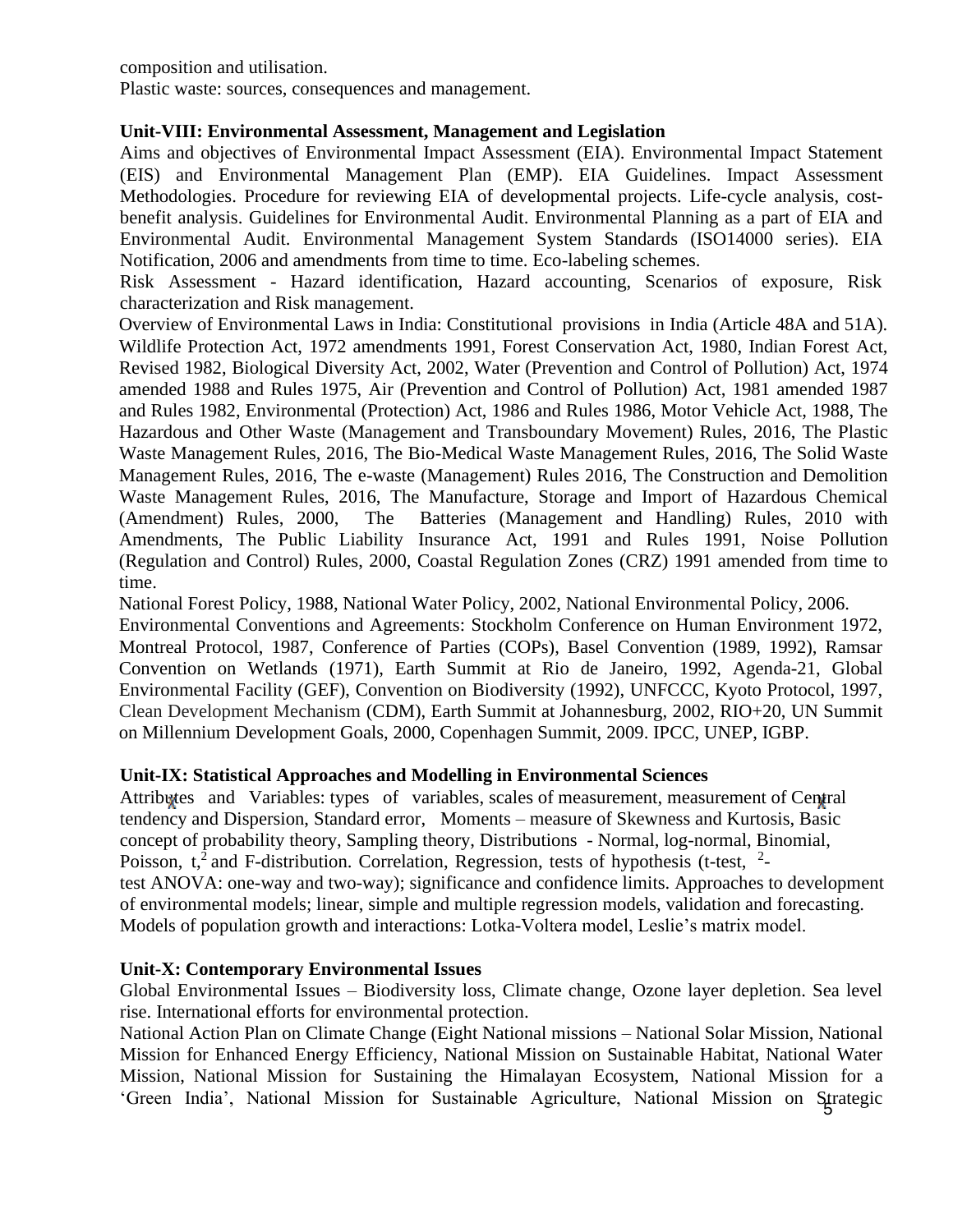composition and utilisation.

Plastic waste: sources, consequences and management.

# **Unit-VIII: Environmental Assessment, Management and Legislation**

Aims and objectives of Environmental Impact Assessment (EIA). Environmental Impact Statement (EIS) and Environmental Management Plan (EMP). EIA Guidelines. Impact Assessment Methodologies. Procedure for reviewing EIA of developmental projects. Life-cycle analysis, costbenefit analysis. Guidelines for Environmental Audit. Environmental Planning as a part of EIA and Environmental Audit. Environmental Management System Standards (ISO14000 series). EIA Notification, 2006 and amendments from time to time. Eco-labeling schemes.

Risk Assessment - Hazard identification, Hazard accounting, Scenarios of exposure, Risk characterization and Risk management.

Overview of Environmental Laws in India: Constitutional provisions in India (Article 48A and 51A). Wildlife Protection Act, 1972 amendments 1991, Forest Conservation Act, 1980, Indian Forest Act, Revised 1982, Biological Diversity Act, 2002, Water (Prevention and Control of Pollution) Act, 1974 amended 1988 and Rules 1975, Air (Prevention and Control of Pollution) Act, 1981 amended 1987 and Rules 1982, Environmental (Protection) Act, 1986 and Rules 1986, Motor Vehicle Act, 1988, The Hazardous and Other Waste (Management and Transboundary Movement) Rules, 2016, The Plastic Waste Management Rules, 2016, The Bio-Medical Waste Management Rules, 2016, The Solid Waste Management Rules, 2016, The e-waste (Management) Rules 2016, The Construction and Demolition Waste Management Rules, 2016, The Manufacture, Storage and Import of Hazardous Chemical (Amendment) Rules, 2000, The Batteries (Management and Handling) Rules, 2010 with Amendments, The Public Liability Insurance Act, 1991 and Rules 1991, Noise Pollution (Regulation and Control) Rules, 2000, Coastal Regulation Zones (CRZ) 1991 amended from time to time.

National Forest Policy, 1988, National Water Policy, 2002, National Environmental Policy, 2006.

Environmental Conventions and Agreements: Stockholm Conference on Human Environment 1972, Montreal Protocol, 1987, Conference of Parties (COPs), Basel Convention (1989, 1992), Ramsar Convention on Wetlands (1971), Earth Summit at Rio de Janeiro, 1992, Agenda-21, Global Environmental Facility (GEF), Convention on Biodiversity (1992), UNFCCC, Kyoto Protocol, 1997, Clean Development Mechanism (CDM), Earth Summit at Johannesburg, 2002, RIO+20, UN Summit on Millennium Development Goals, 2000, Copenhagen Summit, 2009. IPCC, UNEP, IGBP.

# **Unit-IX: Statistical Approaches and Modelling in Environmental Sciences**

Attributes and Variables: types of variables, scales of measurement, measurement of Central tendency and Dispersion, Standard error, Moments – measure of Skewness and Kurtosis, Basic concept of probability theory, Sampling theory, Distributions - Normal, log-normal, Binomial, Poisson,  $t<sub>1</sub><sup>2</sup>$  and F-distribution. Correlation, Regression, tests of hypothesis (t-test,  $2$ test ANOVA: one-way and two-way); significance and confidence limits. Approaches to development of environmental models; linear, simple and multiple regression models, validation and forecasting. Models of population growth and interactions: Lotka-Voltera model, Leslie's matrix model.

#### **Unit-X: Contemporary Environmental Issues**

Global Environmental Issues – Biodiversity loss, Climate change, Ozone layer depletion. Sea level rise. International efforts for environmental protection.

5 'Green India', National Mission for Sustainable Agriculture, National Mission on Strategic National Action Plan on Climate Change (Eight National missions – National Solar Mission, National Mission for Enhanced Energy Efficiency, National Mission on Sustainable Habitat, National Water Mission, National Mission for Sustaining the Himalayan Ecosystem, National Mission for a